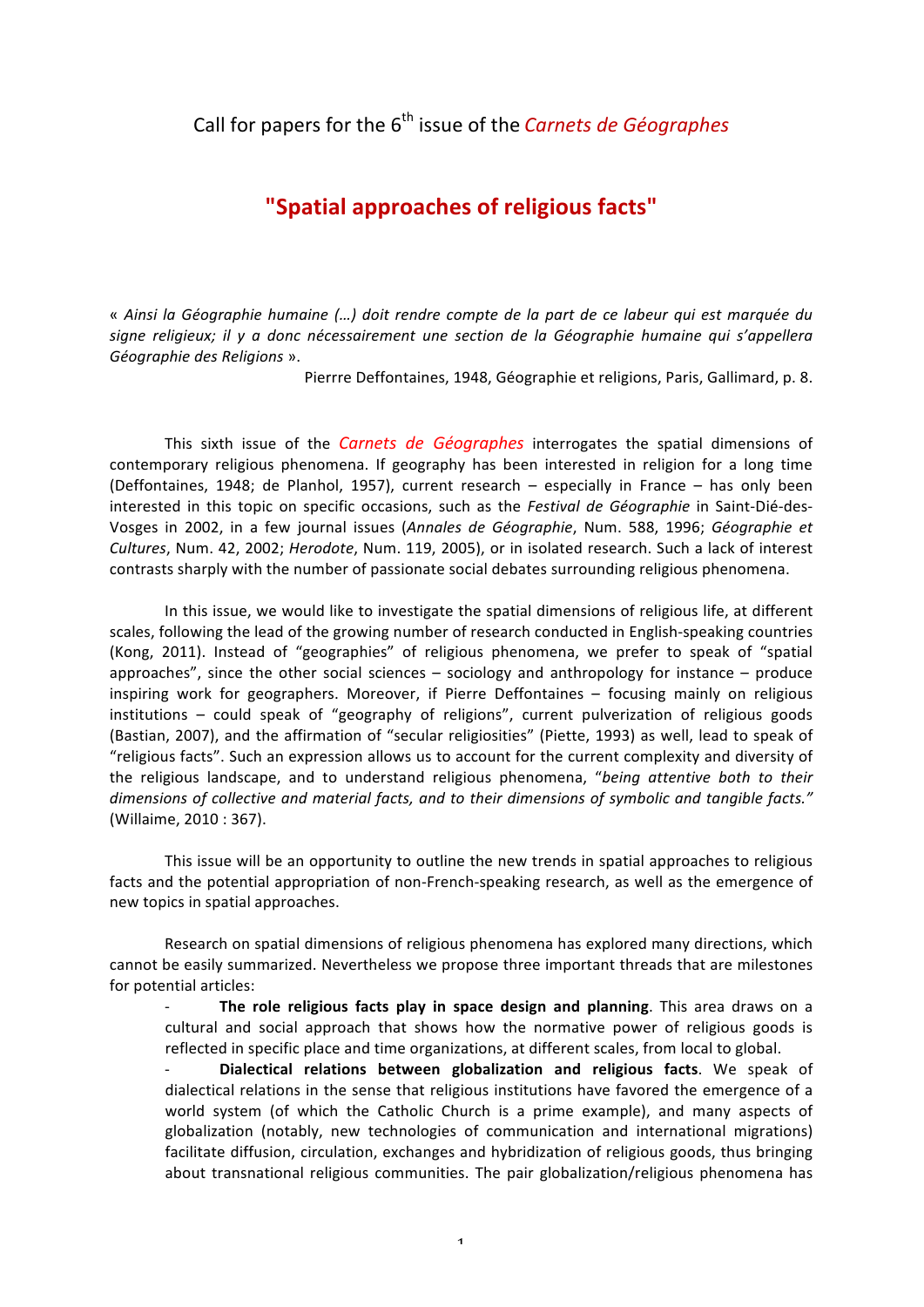# Call for papers for the 6<sup>th</sup> issue of the *Carnets de Géographes*

## "Spatial approaches of religious facts"

« Ainsi la Géographie humaine (...) doit rendre compte de la part de ce labeur qui est marquée du signe religieux; il y a donc nécessairement une section de la Géographie humaine qui s'appellera Géographie des Religions ».

Pierrre Deffontaines, 1948, Géographie et religions, Paris, Gallimard, p. 8.

This sixth issue of the *Carnets de Géographes* interrogates the spatial dimensions of contemporary religious phenomena. If geography has been interested in religion for a long time (Deffontaines, 1948; de Planhol, 1957), current research - especially in France - has only been interested in this topic on specific occasions, such as the Festival de Géographie in Saint-Dié-des-Vosges in 2002, in a few journal issues (Annales de Géographie, Num. 588, 1996; Géographie et Cultures, Num. 42, 2002; Herodote, Num. 119, 2005), or in isolated research. Such a lack of interest contrasts sharply with the number of passionate social debates surrounding religious phenomena.

In this issue, we would like to investigate the spatial dimensions of religious life, at different scales, following the lead of the growing number of research conducted in English-speaking countries (Kong, 2011). Instead of "geographies" of religious phenomena, we prefer to speak of "spatial approaches", since the other social sciences  $-$  sociology and anthropology for instance  $-$  produce inspiring work for geographers. Moreover, if Pierre Deffontaines - focusing mainly on religious institutions - could speak of "geography of religions", current pulverization of religious goods (Bastian, 2007), and the affirmation of "secular religiosities" (Piette, 1993) as well, lead to speak of "religious facts". Such an expression allows us to account for the current complexity and diversity of the religious landscape, and to understand religious phenomena, "being attentive both to their dimensions of collective and material facts, and to their dimensions of symbolic and tangible facts." (Willaime, 2010: 367).

This issue will be an opportunity to outline the new trends in spatial approaches to religious facts and the potential appropriation of non-French-speaking research, as well as the emergence of new topics in spatial approaches.

Research on spatial dimensions of religious phenomena has explored many directions, which cannot be easily summarized. Nevertheless we propose three important threads that are milestones for potential articles:

The role religious facts play in space design and planning. This area draws on a cultural and social approach that shows how the normative power of religious goods is reflected in specific place and time organizations, at different scales, from local to global.

Dialectical relations between globalization and religious facts. We speak of dialectical relations in the sense that religious institutions have favored the emergence of a world system (of which the Catholic Church is a prime example), and many aspects of globalization (notably, new technologies of communication and international migrations) facilitate diffusion, circulation, exchanges and hybridization of religious goods, thus bringing about transnational religious communities. The pair globalization/religious phenomena has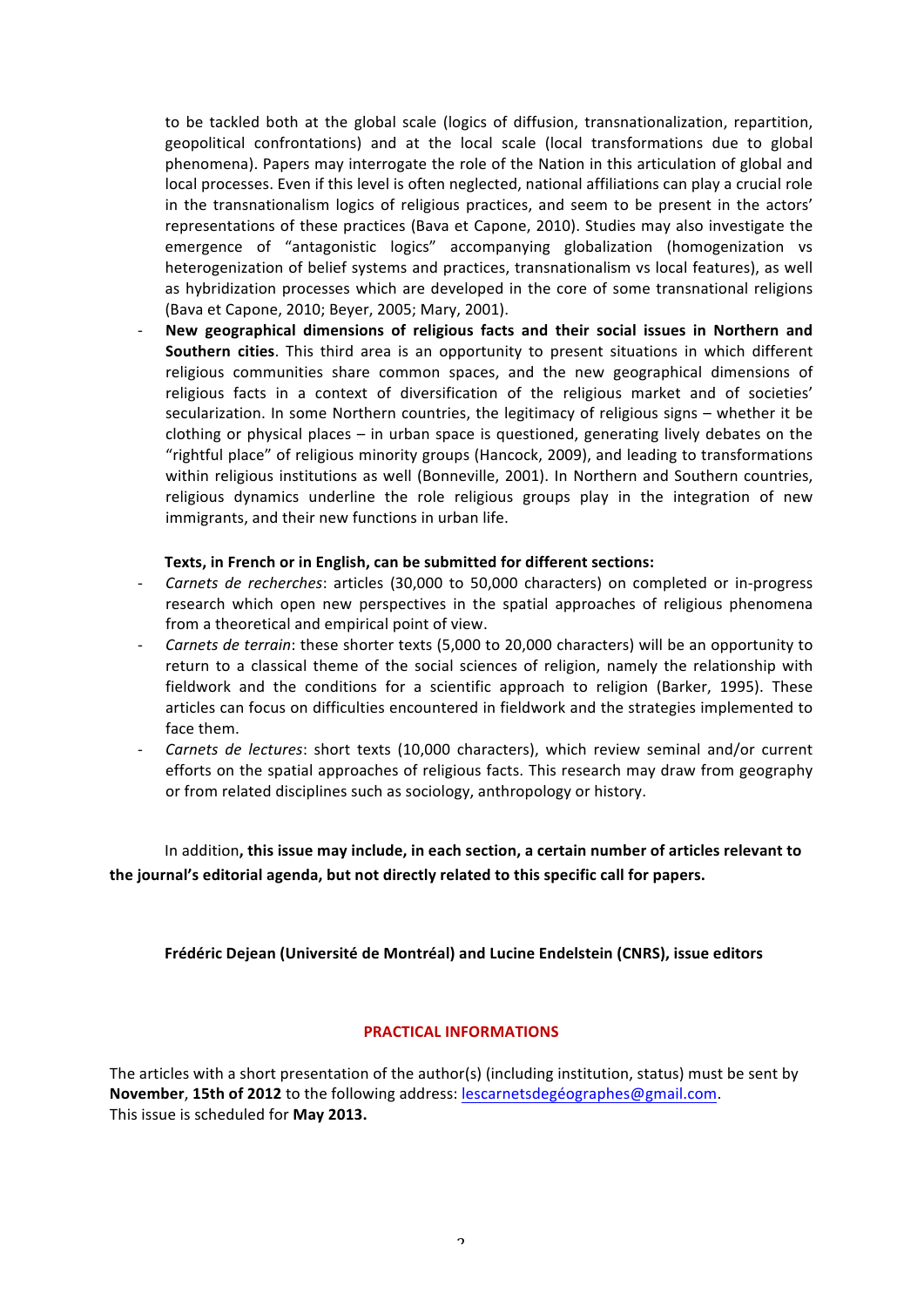to be tackled both at the global scale (logics of diffusion, transnationalization, repartition, geopolitical confrontations) and at the local scale (local transformations due to global phenomena). Papers may interrogate the role of the Nation in this articulation of global and local processes. Even if this level is often neglected, national affiliations can play a crucial role in the transnationalism logics of religious practices, and seem to be present in the actors' representations of these practices (Bava et Capone, 2010). Studies may also investigate the emergence of "antagonistic logics" accompanying globalization (homogenization vs heterogenization of belief systems and practices, transnationalism vs local features), as well as hybridization processes which are developed in the core of some transnational religions (Bava et Capone, 2010; Beyer, 2005; Mary, 2001).

New geographical dimensions of religious facts and their social issues in Northern and Southern cities. This third area is an opportunity to present situations in which different religious communities share common spaces, and the new geographical dimensions of religious facts in a context of diversification of the religious market and of societies' secularization. In some Northern countries, the legitimacy of religious signs - whether it be clothing or physical places  $-$  in urban space is questioned, generating lively debates on the "rightful place" of religious minority groups (Hancock, 2009), and leading to transformations within religious institutions as well (Bonneville, 2001). In Northern and Southern countries, religious dynamics underline the role religious groups play in the integration of new immigrants, and their new functions in urban life.

## Texts, in French or in English, can be submitted for different sections:

- Carnets de recherches: articles (30,000 to 50,000 characters) on completed or in-progress research which open new perspectives in the spatial approaches of religious phenomena from a theoretical and empirical point of view.
- Carnets de terrain: these shorter texts (5,000 to 20,000 characters) will be an opportunity to return to a classical theme of the social sciences of religion, namely the relationship with fieldwork and the conditions for a scientific approach to religion (Barker, 1995). These articles can focus on difficulties encountered in fieldwork and the strategies implemented to face them.
- Carnets de lectures: short texts (10,000 characters), which review seminal and/or current efforts on the spatial approaches of religious facts. This research may draw from geography or from related disciplines such as sociology, anthropology or history.

In addition, this issue may include, in each section, a certain number of articles relevant to the journal's editorial agenda, but not directly related to this specific call for papers.

Frédéric Dejean (Université de Montréal) and Lucine Endelstein (CNRS), issue editors

### **PRACTICAL INFORMATIONS**

The articles with a short presentation of the author(s) (including institution, status) must be sent by November, 15th of 2012 to the following address: lescarnetsdegéographes@gmail.com. This issue is scheduled for May 2013.